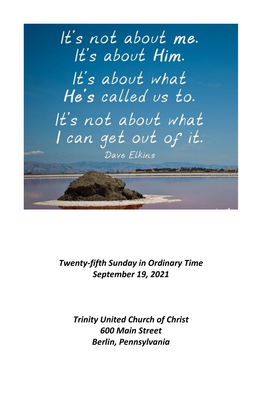

# *Twenty-fifth Sunday in Ordinary Time September 19, 2021*

*Trinity United Church of Christ 600 Main Street Berlin, Pennsylvania*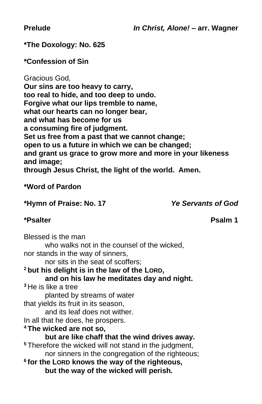**Prelude** *In Christ, Alone!* **– arr. Wagner**

**\*The Doxology: No. 625**

**\*Confession of Sin**

Gracious God, **Our sins are too heavy to carry, too real to hide, and too deep to undo. Forgive what our lips tremble to name, what our hearts can no longer bear, and what has become for us a consuming fire of judgment. Set us free from a past that we cannot change; open to us a future in which we can be changed; and grant us grace to grow more and more in your likeness and image; through Jesus Christ, the light of the world. Amen.**

**\*Word of Pardon**

**\*Hymn of Praise: No. 17** *Ye Servants of God*

#### **\*Psalter Psalm 1**

Blessed is the man who walks not in the counsel of the wicked. nor stands in the way of sinners, nor sits in the seat of scoffers; **<sup>2</sup> but his delight is in the law of the LORD, and on his law he meditates day and night. <sup>3</sup>** He is like a tree planted by streams of water that yields its fruit in its season, and its leaf does not wither. In all that he does, he prospers. **<sup>4</sup> The wicked are not so, but are like chaff that the wind drives away. <sup>5</sup>** Therefore the wicked will not stand in the judgment, nor sinners in the congregation of the righteous; **6 for the LORD knows the way of the righteous, but the way of the wicked will perish.**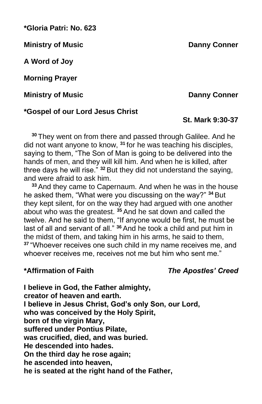**\*Gloria Patri: No. 623**

**Ministry of Music Danny Conner** 

**A Word of Joy**

**Morning Prayer**

**Ministry of Music Danny Conner** 

#### **\*Gospel of our Lord Jesus Christ**

**<sup>30</sup>** They went on from there and passed through Galilee. And he did not want anyone to know, **<sup>31</sup>** for he was teaching his disciples, saying to them, "The Son of Man is going to be delivered into the hands of men, and they will kill him. And when he is killed, after three days he will rise." **<sup>32</sup>** But they did not understand the saying, and were afraid to ask him.

**<sup>33</sup>** And they came to Capernaum. And when he was in the house he asked them, "What were you discussing on the way?" **<sup>34</sup>** But they kept silent, for on the way they had argued with one another about who was the greatest. **<sup>35</sup>** And he sat down and called the twelve. And he said to them, "If anyone would be first, he must be last of all and servant of all." **<sup>36</sup>** And he took a child and put him in the midst of them, and taking him in his arms, he said to them, **<sup>37</sup>** "Whoever receives one such child in my name receives me, and whoever receives me, receives not me but him who sent me."

**\*Affirmation of Faith** *The Apostles' Creed*

**I believe in God, the Father almighty, creator of heaven and earth. I believe in Jesus Christ, God's only Son, our Lord, who was conceived by the Holy Spirit, born of the virgin Mary, suffered under Pontius Pilate, was crucified, died, and was buried. He descended into hades. On the third day he rose again; he ascended into heaven, he is seated at the right hand of the Father,**

**St. Mark 9:30-37**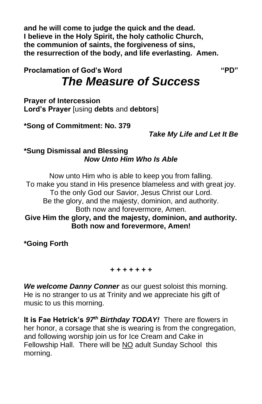**and he will come to judge the quick and the dead. I believe in the Holy Spirit, the holy catholic Church, the communion of saints, the forgiveness of sins, the resurrection of the body, and life everlasting. Amen.**

**Proclamation of God's Word "PD"**

# *The Measure of Success*

**Prayer of Intercession Lord's Prayer** [using **debts** and **debtors**]

**\*Song of Commitment: No. 379**

*Take My Life and Let It Be*

#### **\*Sung Dismissal and Blessing** *Now Unto Him Who Is Able*

Now unto Him who is able to keep you from falling. To make you stand in His presence blameless and with great joy. To the only God our Savior, Jesus Christ our Lord. Be the glory, and the majesty, dominion, and authority. Both now and forevermore, Amen. **Give Him the glory, and the majesty, dominion, and authority. Both now and forevermore, Amen!**

**\*Going Forth**

*+ + + + + + +*

*We welcome Danny Conner* as our guest soloist this morning. He is no stranger to us at Trinity and we appreciate his gift of music to us this morning.

**It is Fae Hetrick's** *97th Birthday TODAY!* There are flowers in her honor, a corsage that she is wearing is from the congregation, and following worship join us for Ice Cream and Cake in Fellowship Hall. There will be NO adult Sunday School this morning.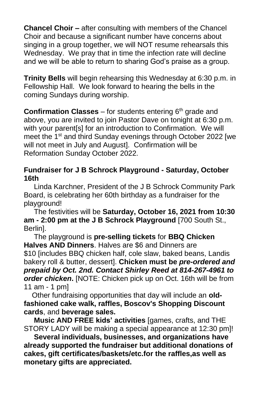**Chancel Choir –** after consulting with members of the Chancel Choir and because a significant number have concerns about singing in a group together, we will NOT resume rehearsals this Wednesday. We pray that in time the infection rate will decline and we will be able to return to sharing God's praise as a group.

**Trinity Bells** will begin rehearsing this Wednesday at 6:30 p.m. in Fellowship Hall. We look forward to hearing the bells in the coming Sundays during worship.

**Confirmation Classes** – for students entering 6<sup>th</sup> grade and above, you are invited to join Pastor Dave on tonight at 6:30 p.m. with your parent[s] for an introduction to Confirmation. We will meet the 1<sup>st</sup> and third Sunday evenings through October 2022 [we will not meet in July and August]. Confirmation will be Reformation Sunday October 2022.

#### **Fundraiser for J B Schrock Playground - Saturday, October 16th**

Linda Karchner, President of the J B Schrock Community Park Board, is celebrating her 60th birthday as a fundraiser for the playground!

The festivities will be **Saturday, October 16, 2021 from 10:30 am - 2:00 pm at the J B Schrock Playground** [700 South St., Berlin].

The playground is **pre-selling tickets** for **BBQ Chicken Halves AND Dinners**. Halves are \$6 and Dinners are \$10 [includes BBQ chicken half, cole slaw, baked beans, Landis bakery roll & butter, dessert]. **Chicken must be** *pre-ordered and prepaid by Oct. 2nd. Contact Shirley Reed at 814-267-4961 to order chicken***.** [NOTE: Chicken pick up on Oct. 16th will be from 11 am - 1 pm]

Other fundraising opportunities that day will include an **oldfashioned cake walk, raffles, Boscov's Shopping Discount cards**, and **beverage sales.**

**Music AND FREE kids' activities** [games, crafts, and THE STORY LADY will be making a special appearance at 12:30 pm]!

**Several individuals, businesses, and organizations have already supported the fundraiser but additional donations of cakes, gift certificates/baskets/etc.for the raffles,as well as monetary gifts are appreciated.**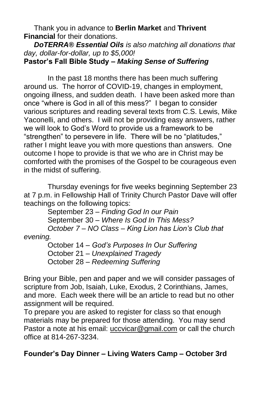Thank you in advance to **Berlin Market** and **Thrivent Financial** for their donations.

#### *DoTERRA® Essential Oils is also matching all donations that day, dollar-for-dollar, up to \$5,000!* **Pastor's Fall Bible Study –** *Making Sense of Suffering*

In the past 18 months there has been much suffering around us. The horror of COVID-19, changes in employment, ongoing illness, and sudden death. I have been asked more than once "where is God in all of this mess?" I began to consider various scriptures and reading several texts from C.S. Lewis, Mike Yaconelli, and others. I will not be providing easy answers, rather we will look to God's Word to provide us a framework to be "strengthen" to persevere in life. There will be no "platitudes," rather I might leave you with more questions than answers. One outcome I hope to provide is that we who are in Christ may be comforted with the promises of the Gospel to be courageous even in the midst of suffering.

Thursday evenings for five weeks beginning September 23 at 7 p.m. in Fellowship Hall of Trinity Church Pastor Dave will offer teachings on the following topics:

September 23 – *Finding God In our Pain* September 30 – *Where Is God In This Mess? October 7 – NO Class – King Lion has Lion's Club that evening.*

October 14 – *God's Purposes In Our Suffering* October 21 – *Unexplained Tragedy* October 28 – *Redeeming Suffering*

Bring your Bible, pen and paper and we will consider passages of scripture from Job, Isaiah, Luke, Exodus, 2 Corinthians, James, and more. Each week there will be an article to read but no other assignment will be required.

To prepare you are asked to register for class so that enough materials may be prepared for those attending. You may send Pastor a note at his email: [uccvicar@gmail.com](mailto:uccvicar@gmail.com) or call the church office at 814-267-3234.

### **Founder's Day Dinner – Living Waters Camp – October 3rd**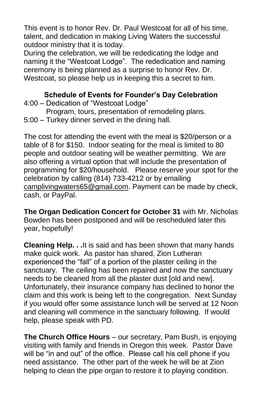This event is to honor Rev. Dr. Paul Westcoat for all of his time, talent, and dedication in making Living Waters the successful outdoor ministry that it is today.

During the celebration, we will be rededicating the lodge and naming it the "Westcoat Lodge". The rededication and naming ceremony is being planned as a surprise to honor Rev. Dr. Westcoat, so please help us in keeping this a secret to him.

#### **Schedule of Events for Founder's Day Celebration**

- 4:00 Dedication of "Westcoat Lodge"
- Program, tours, presentation of remodeling plans.
- 5:00 Turkey dinner served in the dining hall.

The cost for attending the event with the meal is \$20/person or a table of 8 for \$150. Indoor seating for the meal is limited to 80 people and outdoor seating will be weather permitting. We are also offering a virtual option that will include the presentation of programming for \$20/household. Please reserve your spot for the celebration by calling (814) 733-4212 or by emailing [camplivingwaters65@gmail.com.](mailto:camplivingwaters65@gmail.com) Payment can be made by check, cash, or PayPal.

**The Organ Dedication Concert for October 31** with Mr. Nicholas Bowden has been postponed and will be rescheduled later this year, hopefully!

**Cleaning Help. . .**It is said and has been shown that many hands make quick work. As pastor has shared, Zion Lutheran experienced the "fall" of a portion of the plaster ceiling in the sanctuary. The ceiling has been repaired and now the sanctuary needs to be cleaned from all the plaster dust [old and new]. Unfortunately, their insurance company has declined to honor the claim and this work is being left to the congregation. Next Sunday if you would offer some assistance lunch will be served at 12 Noon and cleaning will commence in the sanctuary following. If would help, please speak with PD.

**The Church Office Hours** – our secretary, Pam Bush, is enjoying visiting with family and friends in Oregon this week. Pastor Dave will be "in and out" of the office. Please call his cell phone if you need assistance. The other part of the week he will be at Zion helping to clean the pipe organ to restore it to playing condition.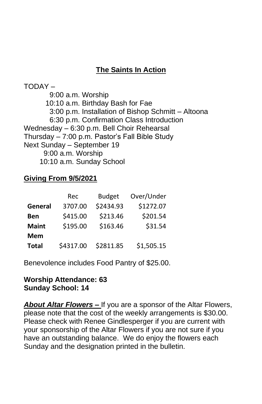## **The Saints In Action**

TODAY – 9:00 a.m. Worship 10:10 a.m. Birthday Bash for Fae 3:00 p.m. Installation of Bishop Schmitt – Altoona 6:30 p.m. Confirmation Class Introduction Wednesday – 6:30 p.m. Bell Choir Rehearsal Thursday – 7:00 p.m. Pastor's Fall Bible Study Next Sunday – September 19 9:00 a.m. Worship 10:10 a.m. Sunday School

#### **Giving From 9/5/2021**

|              | Rec       | <b>Budget</b> | Over/Under |
|--------------|-----------|---------------|------------|
| General      | 3707.00   | \$2434.93     | \$1272.07  |
| Ben          | \$415.00  | \$213.46      | \$201.54   |
| <b>Maint</b> | \$195.00  | \$163.46      | \$31.54    |
| Mem          |           |               |            |
| <b>Total</b> | \$4317.00 | \$2811.85     | \$1,505.15 |

Benevolence includes Food Pantry of \$25.00.

#### **Worship Attendance: 63 Sunday School: 14**

*About Altar Flowers –* If you are a sponsor of the Altar Flowers, please note that the cost of the weekly arrangements is \$30.00. Please check with Renee Gindlesperger if you are current with your sponsorship of the Altar Flowers if you are not sure if you have an outstanding balance. We do enjoy the flowers each Sunday and the designation printed in the bulletin.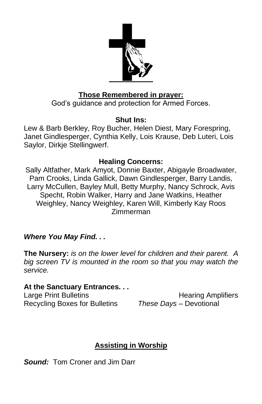

#### **Those Remembered in prayer:**

God's guidance and protection for Armed Forces.

#### **Shut Ins:**

Lew & Barb Berkley, Roy Bucher, Helen Diest, Mary Forespring, Janet Gindlesperger, Cynthia Kelly, Lois Krause, Deb Luteri, Lois Saylor, Dirkje Stellingwerf.

### **Healing Concerns:**

Sally Altfather, Mark Amyot, Donnie Baxter, Abigayle Broadwater, Pam Crooks, Linda Gallick, Dawn Gindlesperger, Barry Landis, Larry McCullen, Bayley Mull, Betty Murphy, Nancy Schrock, Avis Specht, Robin Walker, Harry and Jane Watkins, Heather Weighley, Nancy Weighley, Karen Will, Kimberly Kay Roos Zimmerman

### *Where You May Find. . .*

**The Nursery:** *is on the lower level for children and their parent. A big screen TV is mounted in the room so that you may watch the service.*

#### **At the Sanctuary Entrances. . .**

Recycling Boxes for Bulletins *These Days –* Devotional

Large Print Bulletins **Example 20** Hearing Amplifiers

# **Assisting in Worship**

*Sound:* Tom Croner and Jim Darr